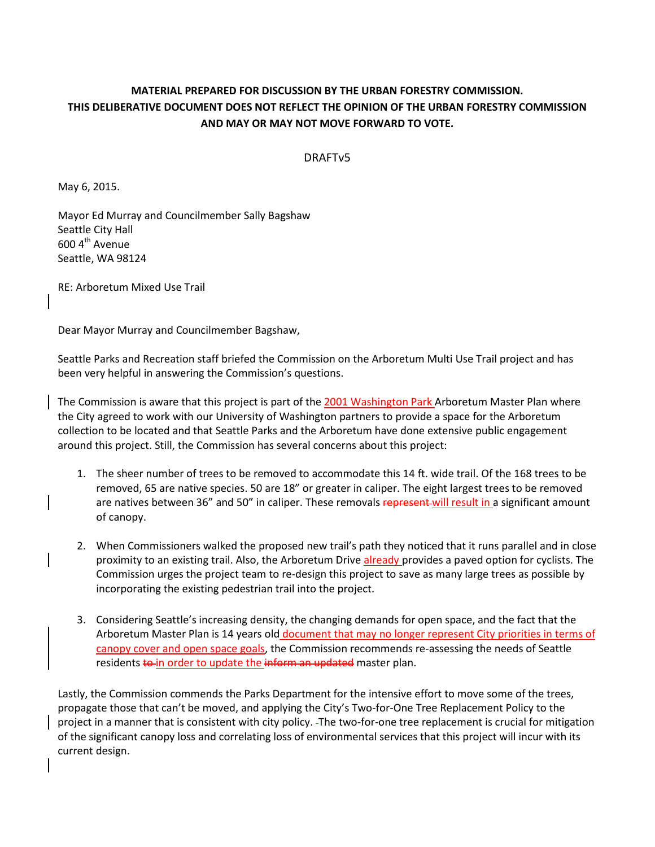## **MATERIAL PREPARED FOR DISCUSSION BY THE URBAN FORESTRY COMMISSION. THIS DELIBERATIVE DOCUMENT DOES NOT REFLECT THE OPINION OF THE URBAN FORESTRY COMMISSION AND MAY OR MAY NOT MOVE FORWARD TO VOTE.**

## DRAFTv5

May 6, 2015.

Mayor Ed Murray and Councilmember Sally Bagshaw Seattle City Hall 600 4<sup>th</sup> Avenue Seattle, WA 98124

RE: Arboretum Mixed Use Trail

Dear Mayor Murray and Councilmember Bagshaw,

Seattle Parks and Recreation staff briefed the Commission on the Arboretum Multi Use Trail project and has been very helpful in answering the Commission's questions.

The Commission is aware that this project is part of the 2001 Washington Park Arboretum Master Plan where the City agreed to work with our University of Washington partners to provide a space for the Arboretum collection to be located and that Seattle Parks and the Arboretum have done extensive public engagement around this project. Still, the Commission has several concerns about this project:

- 1. The sheer number of trees to be removed to accommodate this 14 ft. wide trail. Of the 168 trees to be removed, 65 are native species. 50 are 18" or greater in caliper. The eight largest trees to be removed are natives between 36" and 50" in caliper. These removals represent will result in a significant amount of canopy.
- 2. When Commissioners walked the proposed new trail's path they noticed that it runs parallel and in close proximity to an existing trail. Also, the Arboretum Drive already provides a paved option for cyclists. The Commission urges the project team to re-design this project to save as many large trees as possible by incorporating the existing pedestrian trail into the project.
- 3. Considering Seattle's increasing density, the changing demands for open space, and the fact that the Arboretum Master Plan is 14 years old document that may no longer represent City priorities in terms of canopy cover and open space goals, the Commission recommends re-assessing the needs of Seattle residents to in order to update the inform an updated master plan.

Lastly, the Commission commends the Parks Department for the intensive effort to move some of the trees, propagate those that can't be moved, and applying the City's Two-for-One Tree Replacement Policy to the project in a manner that is consistent with city policy. The two-for-one tree replacement is crucial for mitigation of the significant canopy loss and correlating loss of environmental services that this project will incur with its current design.